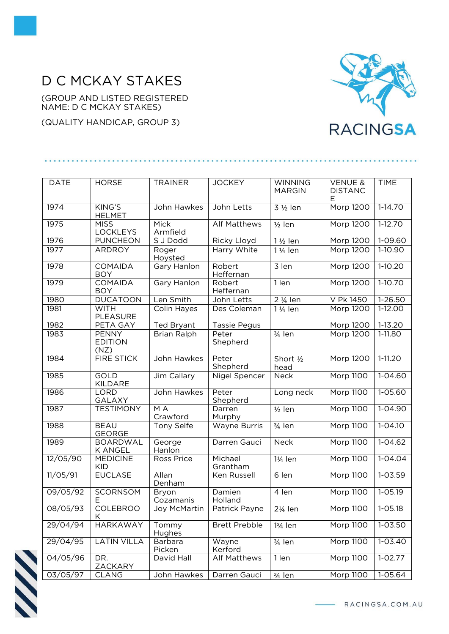## D C MCKAY STAKES

(GROUP AND LISTED REGISTERED NAME: D C MCKAY STAKES)

(QUALITY HANDICAP, GROUP 3)



| <b>DATE</b> | <b>HORSE</b>                           | <b>TRAINER</b>         | <b>JOCKEY</b>        | <b>WINNING</b><br><b>MARGIN</b> | <b>VENUE &amp;</b><br><b>DISTANC</b><br>Е | <b>TIME</b>   |
|-------------|----------------------------------------|------------------------|----------------------|---------------------------------|-------------------------------------------|---------------|
| 1974        | KING'S<br><b>HELMET</b>                | John Hawkes            | John Letts           | 3 1/2 len                       | Morp 1200                                 | $1-14.70$     |
| 1975        | <b>MISS</b><br><b>LOCKLEYS</b>         | Mick<br>Armfield       | Alf Matthews         | $1/2$ len                       | Morp 1200                                 | $1-12.70$     |
| 1976        | <b>PUNCHEON</b>                        | S J Dodd               | Ricky Lloyd          | 1 1/2 len                       | Morp 1200                                 | 1-09.60       |
| 1977        | <b>ARDROY</b>                          | Roger<br>Hoysted       | Harry White          | 1 1/ <sub>4</sub> len           | Morp 1200                                 | $1-10.90$     |
| 1978        | <b>COMAIDA</b><br><b>BOY</b>           | Gary Hanlon            | Robert<br>Heffernan  | $\overline{3}$ len              | <b>Morp 1200</b>                          | $1-10.20$     |
| 1979        | COMAIDA<br><b>BOY</b>                  | <b>Gary Hanlon</b>     | Robert<br>Heffernan  | 1 len                           | Morp 1200                                 | 1-10.70       |
| 1980        | <b>DUCATOON</b>                        | Len Smith              | John Letts           | 2 1/ <sub>4</sub> len           | V Pk 1450                                 | $1 - 26.50$   |
| 1981        | <b>WITH</b><br>PLEASURE                | Colin Hayes            | Des Coleman          | 1 1/ <sub>4</sub> len           | Morp 1200                                 | $1-12.00$     |
| 1982        | PETA GAY                               | <b>Ted Bryant</b>      | <b>Tassie Pegus</b>  |                                 | Morp 1200                                 | $1 - 13.20$   |
| 1983        | <b>PENNY</b><br><b>EDITION</b><br>(NZ) | <b>Brian Ralph</b>     | Peter<br>Shepherd    | 3/ <sub>4</sub> len             | Morp 1200                                 | 1-11.80       |
| 1984        | <b>FIRE STICK</b>                      | John Hawkes            | Peter<br>Shepherd    | Short 1/2<br>head               | Morp 1200                                 | $1 - 11.20$   |
| 1985        | <b>GOLD</b><br><b>KILDARE</b>          | Jim Callary            | Nigel Spencer        | Neck                            | <b>Morp 1100</b>                          | $1 - 04.60$   |
| 1986        | <b>LORD</b><br>GALAXY                  | John Hawkes            | Peter<br>Shepherd    | Long neck                       | Morp 1100                                 | 1-05.60       |
| 1987        | <b>TESTIMONY</b>                       | M A<br>Crawford        | Darren<br>Murphy     | $\frac{1}{2}$ len               | Morp 1100                                 | $1 - 04.90$   |
| 1988        | <b>BEAU</b><br><b>GEORGE</b>           | Tony Selfe             | Wayne Burris         | 3/ <sub>4</sub> len             | Morp 1100                                 | $1 - 04.10$   |
| 1989        | <b>BOARDWAL</b><br><b>K ANGEL</b>      | George<br>Hanlon       | Darren Gauci         | Neck                            | Morp 1100                                 | $1 - 04.62$   |
| 12/05/90    | <b>MEDICINE</b><br>KID                 | <b>Ross Price</b>      | Michael<br>Grantham  | 1¼ len                          | <b>Morp 1100</b>                          | $1 - 04.04$   |
| 11/05/91    | <b>EUCLASE</b>                         | Allan<br>Denham        | Ken Russell          | 6 len                           | <b>Morp 1100</b>                          | $1 - 03.59$   |
| 09/05/92    | <b>SCORNSOM</b><br>Ε                   | Bryon<br>Cozamanis     | Damien<br>Holland    | 4 len                           | Morp 1100                                 | $1 - 05.19$   |
| 08/05/93    | <b>COLEBROO</b><br>K.                  | Joy McMartin           | Patrick Payne        | $2\frac{1}{4}$ len              | <b>Morp 1100</b>                          | $ 1 - 05.18 $ |
| 29/04/94    | <b>HARKAWAY</b>                        | Tommy<br><b>Hughes</b> | <b>Brett Prebble</b> | 13/ <sub>4</sub> len            | <b>Morp 1100</b>                          | $1 - 03.50$   |
| 29/04/95    | <b>LATIN VILLA</b>                     | Barbara<br>Picken      | Wayne<br>Kerford     | 3/ <sub>4</sub> len             | Morp 1100                                 | $1 - 03.40$   |
| 04/05/96    | DR.<br>ZACKARY                         | David Hall             | <b>Alf Matthews</b>  | 1 len                           | <b>Morp 1100</b>                          | $1-02.77$     |
| 03/05/97    | <b>CLANG</b>                           | John Hawkes            | Darren Gauci         | 3/ <sub>4</sub> len             | Morp 1100                                 | $1 - 05.64$   |